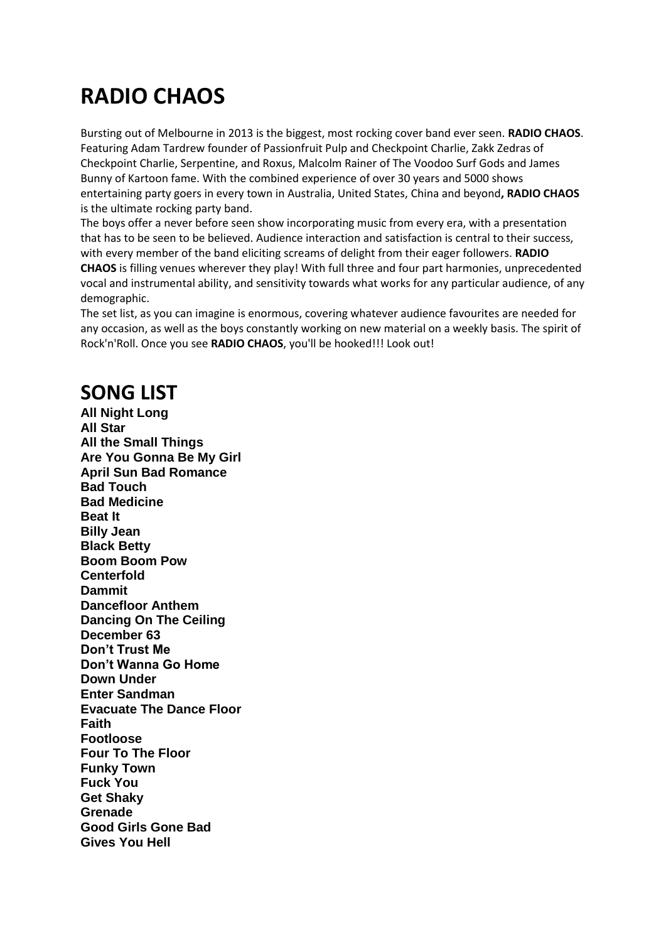## **RADIO CHAOS**

Bursting out of Melbourne in 2013 is the biggest, most rocking cover band ever seen. **RADIO CHAOS**. Featuring Adam Tardrew founder of Passionfruit Pulp and Checkpoint Charlie, Zakk Zedras of Checkpoint Charlie, Serpentine, and Roxus, Malcolm Rainer of The Voodoo Surf Gods and James Bunny of Kartoon fame. With the combined experience of over 30 years and 5000 shows entertaining party goers in every town in Australia, United States, China and beyond**, RADIO CHAOS**  is the ultimate rocking party band.

The boys offer a never before seen show incorporating music from every era, with a presentation that has to be seen to be believed. Audience interaction and satisfaction is central to their success, with every member of the band eliciting screams of delight from their eager followers. **RADIO CHAOS** is filling venues wherever they play! With full three and four part harmonies, unprecedented vocal and instrumental ability, and sensitivity towards what works for any particular audience, of any demographic.

The set list, as you can imagine is enormous, covering whatever audience favourites are needed for any occasion, as well as the boys constantly working on new material on a weekly basis. The spirit of Rock'n'Roll. Once you see **RADIO CHAOS**, you'll be hooked!!! Look out!

## **SONG LIST**

**All Night Long All Star All the Small Things Are You Gonna Be My Girl April Sun Bad Romance Bad Touch Bad Medicine Beat It Billy Jean Black Betty Boom Boom Pow Centerfold Dammit Dancefloor Anthem Dancing On The Ceiling December 63 Don't Trust Me Don't Wanna Go Home Down Under Enter Sandman Evacuate The Dance Floor Faith Footloose Four To The Floor Funky Town Fuck You Get Shaky Grenade Good Girls Gone Bad Gives You Hell**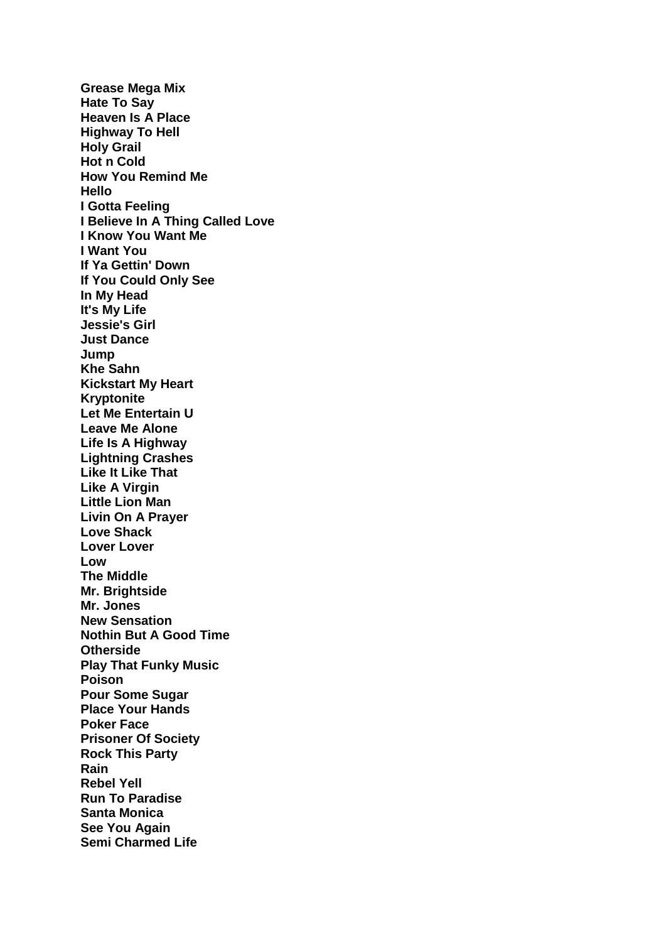**Grease Mega Mix Hate To Say Heaven Is A Place Highway To Hell Holy Grail Hot n Cold How You Remind Me Hello I Gotta Feeling I Believe In A Thing Called Love I Know You Want Me I Want You If Ya Gettin' Down If You Could Only See In My Head It's My Life Jessie's Girl Just Dance Jump Khe Sahn Kickstart My Heart Kryptonite Let Me Entertain U Leave Me Alone Life Is A Highway Lightning Crashes Like It Like That Like A Virgin Little Lion Man Livin On A Prayer Love Shack Lover Lover Low The Middle Mr. Brightside Mr. Jones New Sensation Nothin But A Good Time Otherside Play That Funky Music Poison Pour Some Sugar Place Your Hands Poker Face Prisoner Of Society Rock This Party Rain Rebel Yell Run To Paradise Santa Monica See You Again Semi Charmed Life**